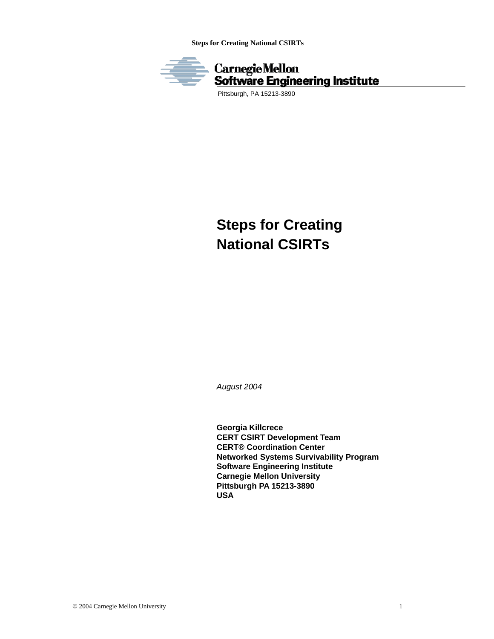**Steps for Creating National CSIRTs** 



Pittsburgh, PA 15213-3890

# **Steps for Creating National CSIRTs**

*August 2004* 

**Georgia Killcrece CERT CSIRT Development Team CERT® Coordination Center Networked Systems Survivability Program Software Engineering Institute Carnegie Mellon University Pittsburgh PA 15213-3890 USA**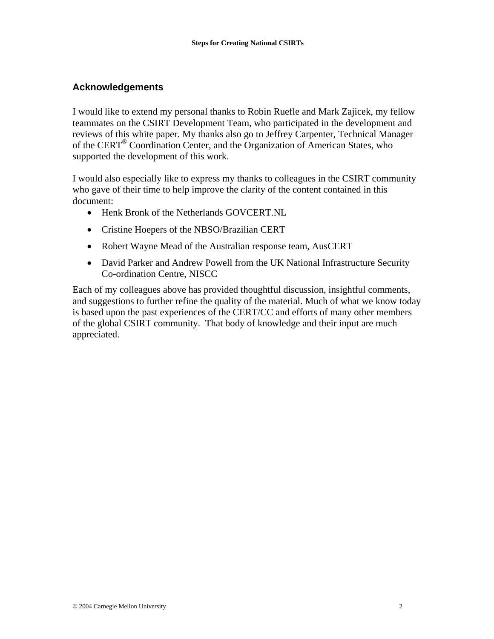## **Acknowledgements**

I would like to extend my personal thanks to Robin Ruefle and Mark Zajicek, my fellow teammates on the CSIRT Development Team, who participated in the development and reviews of this white paper. My thanks also go to Jeffrey Carpenter, Technical Manager of the CERT® Coordination Center, and the Organization of American States, who supported the development of this work.

I would also especially like to express my thanks to colleagues in the CSIRT community who gave of their time to help improve the clarity of the content contained in this document:

- Henk Bronk of the Netherlands GOVCERT.NL
- Cristine Hoepers of the NBSO/Brazilian CERT
- Robert Wayne Mead of the Australian response team, AusCERT
- David Parker and Andrew Powell from the UK National Infrastructure Security Co-ordination Centre, NISCC

Each of my colleagues above has provided thoughtful discussion, insightful comments, and suggestions to further refine the quality of the material. Much of what we know today is based upon the past experiences of the CERT/CC and efforts of many other members of the global CSIRT community. That body of knowledge and their input are much appreciated.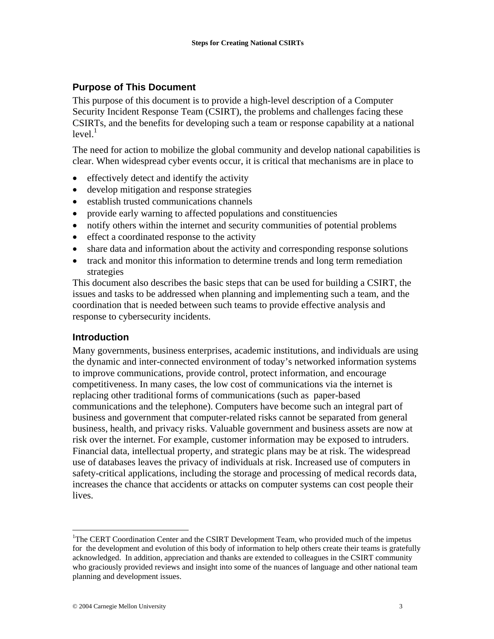## **Purpose of This Document**

This purpose of this document is to provide a high-level description of a Computer Security Incident Response Team (CSIRT), the problems and challenges facing these CSIRTs, and the benefits for developing such a team or response capability at a national level. $^1$ 

The need for action to mobilize the global community and develop national capabilities is clear. When widespread cyber events occur, it is critical that mechanisms are in place to

- effectively detect and identify the activity
- develop mitigation and response strategies
- establish trusted communications channels
- provide early warning to affected populations and constituencies
- notify others within the internet and security communities of potential problems
- effect a coordinated response to the activity
- share data and information about the activity and corresponding response solutions
- track and monitor this information to determine trends and long term remediation strategies

This document also describes the basic steps that can be used for building a CSIRT, the issues and tasks to be addressed when planning and implementing such a team, and the coordination that is needed between such teams to provide effective analysis and response to cybersecurity incidents.

## **Introduction**

Many governments, business enterprises, academic institutions, and individuals are using the dynamic and inter-connected environment of today's networked information systems to improve communications, provide control, protect information, and encourage competitiveness. In many cases, the low cost of communications via the internet is replacing other traditional forms of communications (such as paper-based communications and the telephone). Computers have become such an integral part of business and government that computer-related risks cannot be separated from general business, health, and privacy risks. Valuable government and business assets are now at risk over the internet. For example, customer information may be exposed to intruders. Financial data, intellectual property, and strategic plans may be at risk. The widespread use of databases leaves the privacy of individuals at risk. Increased use of computers in safety-critical applications, including the storage and processing of medical records data, increases the chance that accidents or attacks on computer systems can cost people their lives.

1

<sup>&</sup>lt;sup>1</sup>The CERT Coordination Center and the CSIRT Development Team, who provided much of the impetus for the development and evolution of this body of information to help others create their teams is gratefully acknowledged. In addition, appreciation and thanks are extended to colleagues in the CSIRT community who graciously provided reviews and insight into some of the nuances of language and other national team planning and development issues.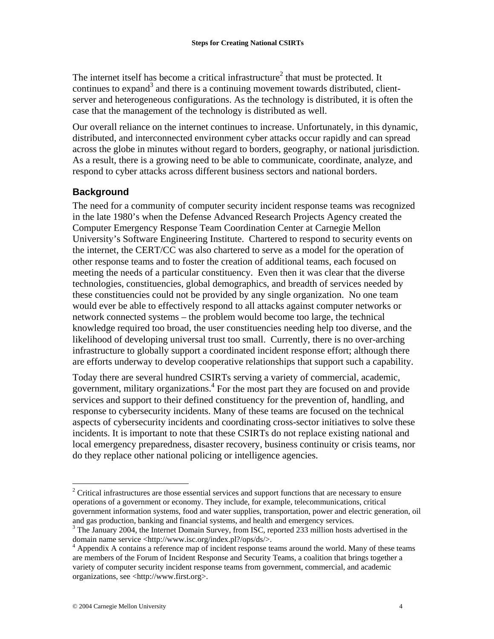The internet itself has become a critical infrastructure<sup>2</sup> that must be protected. It continues to expand<sup>3</sup> and there is a continuing movement towards distributed, clientserver and heterogeneous configurations. As the technology is distributed, it is often the case that the management of the technology is distributed as well.

Our overall reliance on the internet continues to increase. Unfortunately, in this dynamic, distributed, and interconnected environment cyber attacks occur rapidly and can spread across the globe in minutes without regard to borders, geography, or national jurisdiction. As a result, there is a growing need to be able to communicate, coordinate, analyze, and respond to cyber attacks across different business sectors and national borders.

## **Background**

The need for a community of computer security incident response teams was recognized in the late 1980's when the Defense Advanced Research Projects Agency created the Computer Emergency Response Team Coordination Center at Carnegie Mellon University's Software Engineering Institute. Chartered to respond to security events on the internet, the CERT/CC was also chartered to serve as a model for the operation of other response teams and to foster the creation of additional teams, each focused on meeting the needs of a particular constituency. Even then it was clear that the diverse technologies, constituencies, global demographics, and breadth of services needed by these constituencies could not be provided by any single organization. No one team would ever be able to effectively respond to all attacks against computer networks or network connected systems – the problem would become too large, the technical knowledge required too broad, the user constituencies needing help too diverse, and the likelihood of developing universal trust too small. Currently, there is no over-arching infrastructure to globally support a coordinated incident response effort; although there are efforts underway to develop cooperative relationships that support such a capability.

Today there are several hundred CSIRTs serving a variety of commercial, academic, government, military organizations.4 For the most part they are focused on and provide services and support to their defined constituency for the prevention of, handling, and response to cybersecurity incidents. Many of these teams are focused on the technical aspects of cybersecurity incidents and coordinating cross-sector initiatives to solve these incidents. It is important to note that these CSIRTs do not replace existing national and local emergency preparedness, disaster recovery, business continuity or crisis teams, nor do they replace other national policing or intelligence agencies.

1

 $2$  Critical infrastructures are those essential services and support functions that are necessary to ensure operations of a government or economy. They include, for example, telecommunications, critical government information systems, food and water supplies, transportation, power and electric generation, oil and gas production, banking and financial systems, and health and emergency services.

<sup>&</sup>lt;sup>3</sup> The January 2004, the Internet Domain Survey, from ISC, reported 233 million hosts advertised in the domain name service <http://www.isc.org/index.pl?/ops/ds/>.

<sup>4</sup> Appendix A contains a reference map of incident response teams around the world. Many of these teams are members of the Forum of Incident Response and Security Teams, a coalition that brings together a variety of computer security incident response teams from government, commercial, and academic organizations, see <http://www.first.org>.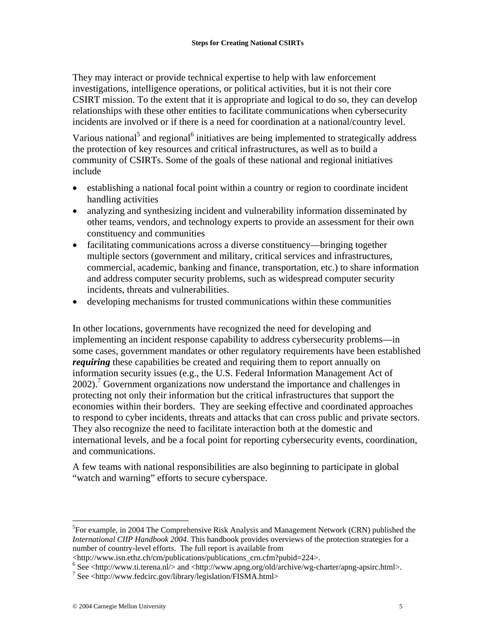They may interact or provide technical expertise to help with law enforcement investigations, intelligence operations, or political activities, but it is not their core CSIRT mission. To the extent that it is appropriate and logical to do so, they can develop relationships with these other entities to facilitate communications when cybersecurity incidents are involved or if there is a need for coordination at a national/country level.

Various national<sup>5</sup> and regional<sup>6</sup> initiatives are being implemented to strategically address the protection of key resources and critical infrastructures, as well as to build a community of CSIRTs. Some of the goals of these national and regional initiatives include

- establishing a national focal point within a country or region to coordinate incident handling activities
- analyzing and synthesizing incident and vulnerability information disseminated by other teams, vendors, and technology experts to provide an assessment for their own constituency and communities
- facilitating communications across a diverse constituency—bringing together multiple sectors (government and military, critical services and infrastructures, commercial, academic, banking and finance, transportation, etc.) to share information and address computer security problems, such as widespread computer security incidents, threats and vulnerabilities.
- developing mechanisms for trusted communications within these communities

In other locations, governments have recognized the need for developing and implementing an incident response capability to address cybersecurity problems—in some cases, government mandates or other regulatory requirements have been established *requiring* these capabilities be created and requiring them to report annually on information security issues (e.g., the U.S. Federal Information Management Act of 2002).<sup>7</sup> Government organizations now understand the importance and challenges in protecting not only their information but the critical infrastructures that support the economies within their borders. They are seeking effective and coordinated approaches to respond to cyber incidents, threats and attacks that can cross public and private sectors. They also recognize the need to facilitate interaction both at the domestic and international levels, and be a focal point for reporting cybersecurity events, coordination, and communications.

A few teams with national responsibilities are also beginning to participate in global "watch and warning" efforts to secure cyberspace.

 $\overline{a}$ 

<sup>&</sup>lt;sup>5</sup>For example, in 2004 The Comprehensive Risk Analysis and Management Network (CRN) published the *International CIIP Handbook 2004*. This handbook provides overviews of the protection strategies for a number of country-level efforts. The full report is available from

<sup>&</sup>lt;http://www.isn.ethz.ch/crn/publications/publications\_crn.cfm?pubid=224>. 6

 $6$  See <http://www.ti.terena.nl/> and <http://www.apng.org/old/archive/wg-charter/apng-apsirc.html>.

 $\frac{7}{1}$  See <http://www.fedcirc.gov/library/legislation/FISMA.html>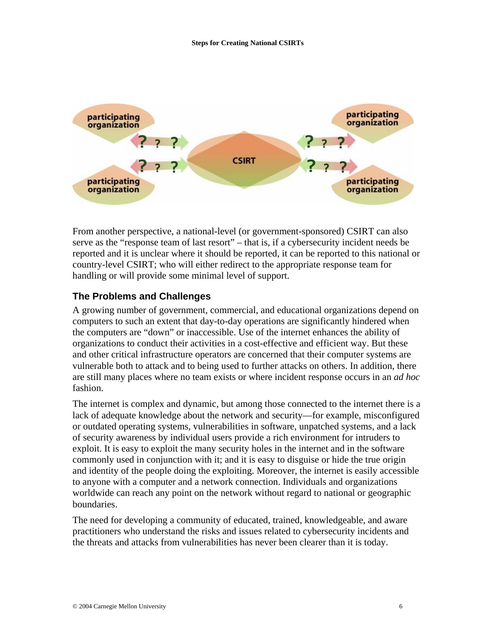

From another perspective, a national-level (or government-sponsored) CSIRT can also serve as the "response team of last resort" – that is, if a cybersecurity incident needs be reported and it is unclear where it should be reported, it can be reported to this national or country-level CSIRT; who will either redirect to the appropriate response team for handling or will provide some minimal level of support.

## **The Problems and Challenges**

A growing number of government, commercial, and educational organizations depend on computers to such an extent that day-to-day operations are significantly hindered when the computers are "down" or inaccessible. Use of the internet enhances the ability of organizations to conduct their activities in a cost-effective and efficient way. But these and other critical infrastructure operators are concerned that their computer systems are vulnerable both to attack and to being used to further attacks on others. In addition, there are still many places where no team exists or where incident response occurs in an *ad hoc* fashion.

The internet is complex and dynamic, but among those connected to the internet there is a lack of adequate knowledge about the network and security—for example, misconfigured or outdated operating systems, vulnerabilities in software, unpatched systems, and a lack of security awareness by individual users provide a rich environment for intruders to exploit. It is easy to exploit the many security holes in the internet and in the software commonly used in conjunction with it; and it is easy to disguise or hide the true origin and identity of the people doing the exploiting. Moreover, the internet is easily accessible to anyone with a computer and a network connection. Individuals and organizations worldwide can reach any point on the network without regard to national or geographic boundaries.

The need for developing a community of educated, trained, knowledgeable, and aware practitioners who understand the risks and issues related to cybersecurity incidents and the threats and attacks from vulnerabilities has never been clearer than it is today.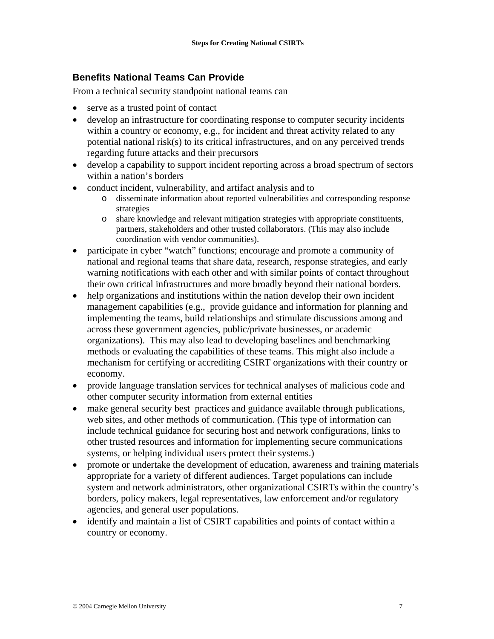## **Benefits National Teams Can Provide**

From a technical security standpoint national teams can

- serve as a trusted point of contact
- develop an infrastructure for coordinating response to computer security incidents within a country or economy, e.g., for incident and threat activity related to any potential national risk(s) to its critical infrastructures, and on any perceived trends regarding future attacks and their precursors
- develop a capability to support incident reporting across a broad spectrum of sectors within a nation's borders
- conduct incident, vulnerability, and artifact analysis and to
	- o disseminate information about reported vulnerabilities and corresponding response strategies
	- o share knowledge and relevant mitigation strategies with appropriate constituents, partners, stakeholders and other trusted collaborators. (This may also include coordination with vendor communities).
- participate in cyber "watch" functions; encourage and promote a community of national and regional teams that share data, research, response strategies, and early warning notifications with each other and with similar points of contact throughout their own critical infrastructures and more broadly beyond their national borders.
- help organizations and institutions within the nation develop their own incident management capabilities (e.g., provide guidance and information for planning and implementing the teams, build relationships and stimulate discussions among and across these government agencies, public/private businesses, or academic organizations). This may also lead to developing baselines and benchmarking methods or evaluating the capabilities of these teams. This might also include a mechanism for certifying or accrediting CSIRT organizations with their country or economy.
- provide language translation services for technical analyses of malicious code and other computer security information from external entities
- make general security best practices and guidance available through publications, web sites, and other methods of communication. (This type of information can include technical guidance for securing host and network configurations, links to other trusted resources and information for implementing secure communications systems, or helping individual users protect their systems.)
- promote or undertake the development of education, awareness and training materials appropriate for a variety of different audiences. Target populations can include system and network administrators, other organizational CSIRTs within the country's borders, policy makers, legal representatives, law enforcement and/or regulatory agencies, and general user populations.
- identify and maintain a list of CSIRT capabilities and points of contact within a country or economy.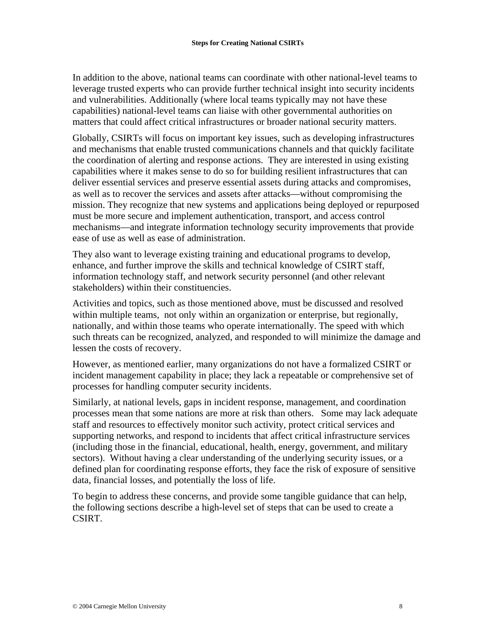In addition to the above, national teams can coordinate with other national-level teams to leverage trusted experts who can provide further technical insight into security incidents and vulnerabilities. Additionally (where local teams typically may not have these capabilities) national-level teams can liaise with other governmental authorities on matters that could affect critical infrastructures or broader national security matters.

Globally, CSIRTs will focus on important key issues, such as developing infrastructures and mechanisms that enable trusted communications channels and that quickly facilitate the coordination of alerting and response actions. They are interested in using existing capabilities where it makes sense to do so for building resilient infrastructures that can deliver essential services and preserve essential assets during attacks and compromises, as well as to recover the services and assets after attacks—without compromising the mission. They recognize that new systems and applications being deployed or repurposed must be more secure and implement authentication, transport, and access control mechanisms—and integrate information technology security improvements that provide ease of use as well as ease of administration.

They also want to leverage existing training and educational programs to develop, enhance, and further improve the skills and technical knowledge of CSIRT staff, information technology staff, and network security personnel (and other relevant stakeholders) within their constituencies.

Activities and topics, such as those mentioned above, must be discussed and resolved within multiple teams, not only within an organization or enterprise, but regionally, nationally, and within those teams who operate internationally. The speed with which such threats can be recognized, analyzed, and responded to will minimize the damage and lessen the costs of recovery.

However, as mentioned earlier, many organizations do not have a formalized CSIRT or incident management capability in place; they lack a repeatable or comprehensive set of processes for handling computer security incidents.

Similarly, at national levels, gaps in incident response, management, and coordination processes mean that some nations are more at risk than others. Some may lack adequate staff and resources to effectively monitor such activity, protect critical services and supporting networks, and respond to incidents that affect critical infrastructure services (including those in the financial, educational, health, energy, government, and military sectors). Without having a clear understanding of the underlying security issues, or a defined plan for coordinating response efforts, they face the risk of exposure of sensitive data, financial losses, and potentially the loss of life.

To begin to address these concerns, and provide some tangible guidance that can help, the following sections describe a high-level set of steps that can be used to create a CSIRT.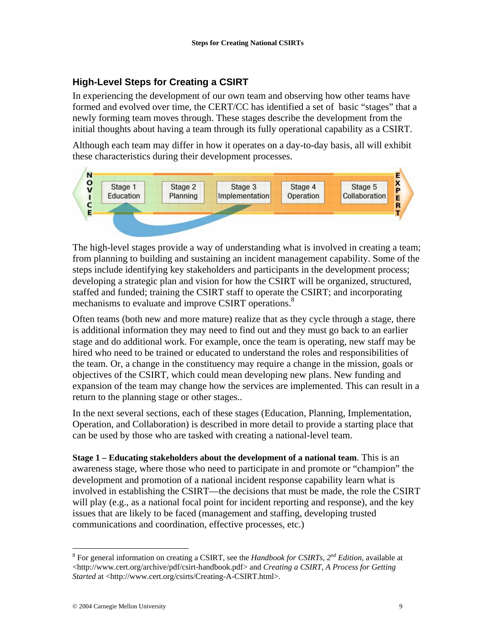# **High-Level Steps for Creating a CSIRT**

In experiencing the development of our own team and observing how other teams have formed and evolved over time, the CERT/CC has identified a set of basic "stages" that a newly forming team moves through. These stages describe the development from the initial thoughts about having a team through its fully operational capability as a CSIRT.

Although each team may differ in how it operates on a day-to-day basis, all will exhibit these characteristics during their development processes.



The high-level stages provide a way of understanding what is involved in creating a team; from planning to building and sustaining an incident management capability. Some of the steps include identifying key stakeholders and participants in the development process; developing a strategic plan and vision for how the CSIRT will be organized, structured, staffed and funded; training the CSIRT staff to operate the CSIRT; and incorporating mechanisms to evaluate and improve CSIRT operations.<sup>8</sup>

Often teams (both new and more mature) realize that as they cycle through a stage, there is additional information they may need to find out and they must go back to an earlier stage and do additional work. For example, once the team is operating, new staff may be hired who need to be trained or educated to understand the roles and responsibilities of the team. Or, a change in the constituency may require a change in the mission, goals or objectives of the CSIRT, which could mean developing new plans. New funding and expansion of the team may change how the services are implemented. This can result in a return to the planning stage or other stages..

In the next several sections, each of these stages (Education, Planning, Implementation, Operation, and Collaboration) is described in more detail to provide a starting place that can be used by those who are tasked with creating a national-level team.

**Stage 1 – Educating stakeholders about the development of a national team**. This is an awareness stage, where those who need to participate in and promote or "champion" the development and promotion of a national incident response capability learn what is involved in establishing the CSIRT—the decisions that must be made, the role the CSIRT will play (e.g., as a national focal point for incident reporting and response), and the key issues that are likely to be faced (management and staffing, developing trusted communications and coordination, effective processes, etc.)

 $\overline{a}$ 

<sup>8</sup> For general information on creating a CSIRT, see the *Handbook for CSIRTs, 2nd Edition,* available at <http://www.cert.org/archive/pdf/csirt-handbook.pdf> and *Creating a CSIRT, A Process for Getting Started* at <http://www.cert.org/csirts/Creating-A-CSIRT.html>.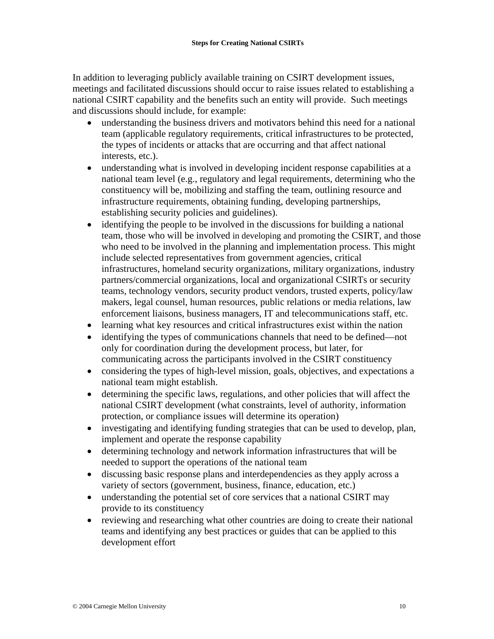In addition to leveraging publicly available training on CSIRT development issues, meetings and facilitated discussions should occur to raise issues related to establishing a national CSIRT capability and the benefits such an entity will provide. Such meetings and discussions should include, for example:

- understanding the business drivers and motivators behind this need for a national team (applicable regulatory requirements, critical infrastructures to be protected, the types of incidents or attacks that are occurring and that affect national interests, etc.).
- understanding what is involved in developing incident response capabilities at a national team level (e.g., regulatory and legal requirements, determining who the constituency will be, mobilizing and staffing the team, outlining resource and infrastructure requirements, obtaining funding, developing partnerships, establishing security policies and guidelines).
- identifying the people to be involved in the discussions for building a national team, those who will be involved in developing and promoting the CSIRT, and those who need to be involved in the planning and implementation process. This might include selected representatives from government agencies, critical infrastructures, homeland security organizations, military organizations, industry partners/commercial organizations, local and organizational CSIRTs or security teams, technology vendors, security product vendors, trusted experts, policy/law makers, legal counsel, human resources, public relations or media relations, law enforcement liaisons, business managers, IT and telecommunications staff, etc.
- learning what key resources and critical infrastructures exist within the nation
- identifying the types of communications channels that need to be defined—not only for coordination during the development process, but later, for communicating across the participants involved in the CSIRT constituency
- considering the types of high-level mission, goals, objectives, and expectations a national team might establish.
- determining the specific laws, regulations, and other policies that will affect the national CSIRT development (what constraints, level of authority, information protection, or compliance issues will determine its operation)
- investigating and identifying funding strategies that can be used to develop, plan, implement and operate the response capability
- determining technology and network information infrastructures that will be needed to support the operations of the national team
- discussing basic response plans and interdependencies as they apply across a variety of sectors (government, business, finance, education, etc.)
- understanding the potential set of core services that a national CSIRT may provide to its constituency
- reviewing and researching what other countries are doing to create their national teams and identifying any best practices or guides that can be applied to this development effort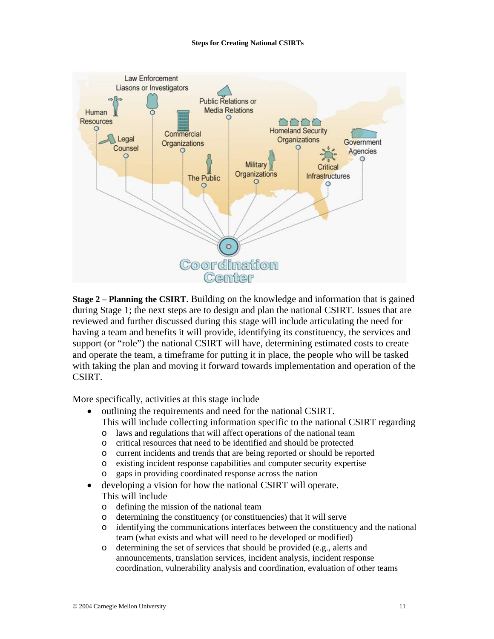

**Stage 2 – Planning the CSIRT**. Building on the knowledge and information that is gained during Stage 1; the next steps are to design and plan the national CSIRT. Issues that are reviewed and further discussed during this stage will include articulating the need for having a team and benefits it will provide, identifying its constituency, the services and support (or "role") the national CSIRT will have, determining estimated costs to create and operate the team, a timeframe for putting it in place, the people who will be tasked with taking the plan and moving it forward towards implementation and operation of the CSIRT.

More specifically, activities at this stage include

- outlining the requirements and need for the national CSIRT.
	- This will include collecting information specific to the national CSIRT regarding
	- o laws and regulations that will affect operations of the national team
	- o critical resources that need to be identified and should be protected
	- o current incidents and trends that are being reported or should be reported
	- o existing incident response capabilities and computer security expertise
	- o gaps in providing coordinated response across the nation
- developing a vision for how the national CSIRT will operate. This will include
	- o defining the mission of the national team
	- o determining the constituency (or constituencies) that it will serve
	- o identifying the communications interfaces between the constituency and the national team (what exists and what will need to be developed or modified)
	- o determining the set of services that should be provided (e.g., alerts and announcements, translation services, incident analysis, incident response coordination, vulnerability analysis and coordination, evaluation of other teams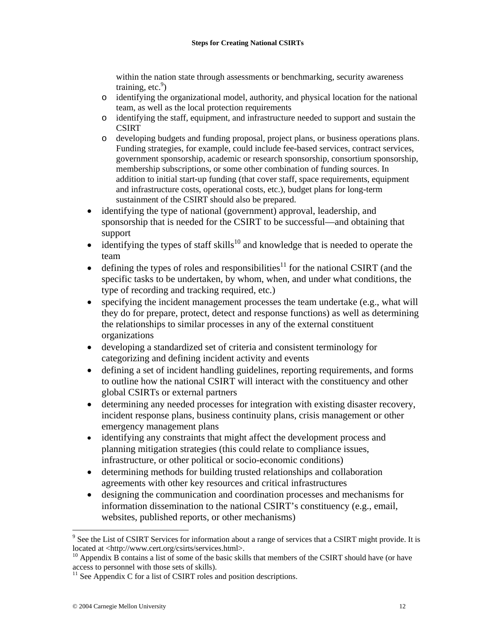within the nation state through assessments or benchmarking, security awareness training, etc. $9$ 

- o identifying the organizational model, authority, and physical location for the national team, as well as the local protection requirements
- o identifying the staff, equipment, and infrastructure needed to support and sustain the **CSIRT**
- o developing budgets and funding proposal, project plans, or business operations plans. Funding strategies, for example, could include fee-based services, contract services, government sponsorship, academic or research sponsorship, consortium sponsorship, membership subscriptions, or some other combination of funding sources. In addition to initial start-up funding (that cover staff, space requirements, equipment and infrastructure costs, operational costs, etc.), budget plans for long-term sustainment of the CSIRT should also be prepared.
- identifying the type of national (government) approval, leadership, and sponsorship that is needed for the CSIRT to be successful—and obtaining that support
- identifying the types of staff skills<sup>10</sup> and knowledge that is needed to operate the team
- defining the types of roles and responsibilities<sup>11</sup> for the national CSIRT (and the specific tasks to be undertaken, by whom, when, and under what conditions, the type of recording and tracking required, etc.)
- specifying the incident management processes the team undertake (e.g., what will they do for prepare, protect, detect and response functions) as well as determining the relationships to similar processes in any of the external constituent organizations
- developing a standardized set of criteria and consistent terminology for categorizing and defining incident activity and events
- defining a set of incident handling guidelines, reporting requirements, and forms to outline how the national CSIRT will interact with the constituency and other global CSIRTs or external partners
- determining any needed processes for integration with existing disaster recovery, incident response plans, business continuity plans, crisis management or other emergency management plans
- identifying any constraints that might affect the development process and planning mitigation strategies (this could relate to compliance issues, infrastructure, or other political or socio-economic conditions)
- determining methods for building trusted relationships and collaboration agreements with other key resources and critical infrastructures
- designing the communication and coordination processes and mechanisms for information dissemination to the national CSIRT's constituency (e.g., email, websites, published reports, or other mechanisms)

 $\overline{a}$ 

<sup>&</sup>lt;sup>9</sup> See the List of CSIRT Services for information about a range of services that a CSIRT might provide. It is located at <http://www.cert.org/csirts/services.html>.<br><sup>10</sup> Appendix B contains a list of some of the basic skills that members of the CSIRT should have (or have

access to personnel with those sets of skills).

 $11$  See Appendix C for a list of CSIRT roles and position descriptions.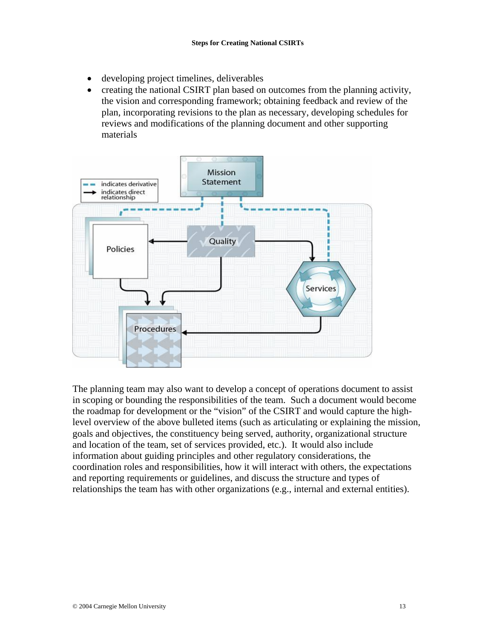- developing project timelines, deliverables
- creating the national CSIRT plan based on outcomes from the planning activity, the vision and corresponding framework; obtaining feedback and review of the plan, incorporating revisions to the plan as necessary, developing schedules for reviews and modifications of the planning document and other supporting materials



The planning team may also want to develop a concept of operations document to assist in scoping or bounding the responsibilities of the team. Such a document would become the roadmap for development or the "vision" of the CSIRT and would capture the highlevel overview of the above bulleted items (such as articulating or explaining the mission, goals and objectives, the constituency being served, authority, organizational structure and location of the team, set of services provided, etc.). It would also include information about guiding principles and other regulatory considerations, the coordination roles and responsibilities, how it will interact with others, the expectations and reporting requirements or guidelines, and discuss the structure and types of relationships the team has with other organizations (e.g., internal and external entities).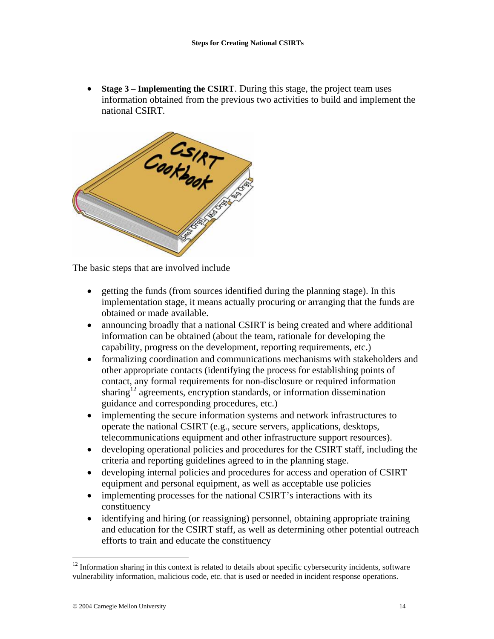• **Stage 3 – Implementing the CSIRT**. During this stage, the project team uses information obtained from the previous two activities to build and implement the national CSIRT.



The basic steps that are involved include

- getting the funds (from sources identified during the planning stage). In this implementation stage, it means actually procuring or arranging that the funds are obtained or made available.
- announcing broadly that a national CSIRT is being created and where additional information can be obtained (about the team, rationale for developing the capability, progress on the development, reporting requirements, etc.)
- formalizing coordination and communications mechanisms with stakeholders and other appropriate contacts (identifying the process for establishing points of contact, any formal requirements for non-disclosure or required information sharing<sup>12</sup> agreements, encryption standards, or information dissemination guidance and corresponding procedures, etc.)
- implementing the secure information systems and network infrastructures to operate the national CSIRT (e.g., secure servers, applications, desktops, telecommunications equipment and other infrastructure support resources).
- developing operational policies and procedures for the CSIRT staff, including the criteria and reporting guidelines agreed to in the planning stage.
- developing internal policies and procedures for access and operation of CSIRT equipment and personal equipment, as well as acceptable use policies
- implementing processes for the national CSIRT's interactions with its constituency
- identifying and hiring (or reassigning) personnel, obtaining appropriate training and education for the CSIRT staff, as well as determining other potential outreach efforts to train and educate the constituency

1

 $12$  Information sharing in this context is related to details about specific cybersecurity incidents, software vulnerability information, malicious code, etc. that is used or needed in incident response operations.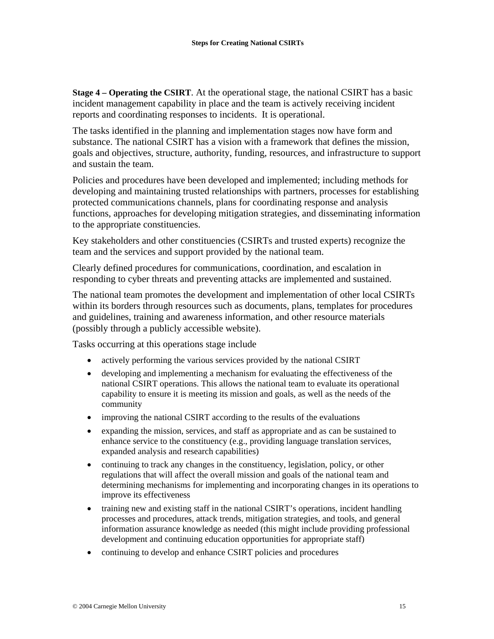**Stage 4 – Operating the CSIRT**. At the operational stage, the national CSIRT has a basic incident management capability in place and the team is actively receiving incident reports and coordinating responses to incidents. It is operational.

The tasks identified in the planning and implementation stages now have form and substance. The national CSIRT has a vision with a framework that defines the mission, goals and objectives, structure, authority, funding, resources, and infrastructure to support and sustain the team.

Policies and procedures have been developed and implemented; including methods for developing and maintaining trusted relationships with partners, processes for establishing protected communications channels, plans for coordinating response and analysis functions, approaches for developing mitigation strategies, and disseminating information to the appropriate constituencies.

Key stakeholders and other constituencies (CSIRTs and trusted experts) recognize the team and the services and support provided by the national team.

Clearly defined procedures for communications, coordination, and escalation in responding to cyber threats and preventing attacks are implemented and sustained.

The national team promotes the development and implementation of other local CSIRTs within its borders through resources such as documents, plans, templates for procedures and guidelines, training and awareness information, and other resource materials (possibly through a publicly accessible website).

Tasks occurring at this operations stage include

- actively performing the various services provided by the national CSIRT
- developing and implementing a mechanism for evaluating the effectiveness of the national CSIRT operations. This allows the national team to evaluate its operational capability to ensure it is meeting its mission and goals, as well as the needs of the community
- improving the national CSIRT according to the results of the evaluations
- expanding the mission, services, and staff as appropriate and as can be sustained to enhance service to the constituency (e.g., providing language translation services, expanded analysis and research capabilities)
- continuing to track any changes in the constituency, legislation, policy, or other regulations that will affect the overall mission and goals of the national team and determining mechanisms for implementing and incorporating changes in its operations to improve its effectiveness
- training new and existing staff in the national CSIRT's operations, incident handling processes and procedures, attack trends, mitigation strategies, and tools, and general information assurance knowledge as needed (this might include providing professional development and continuing education opportunities for appropriate staff)
- continuing to develop and enhance CSIRT policies and procedures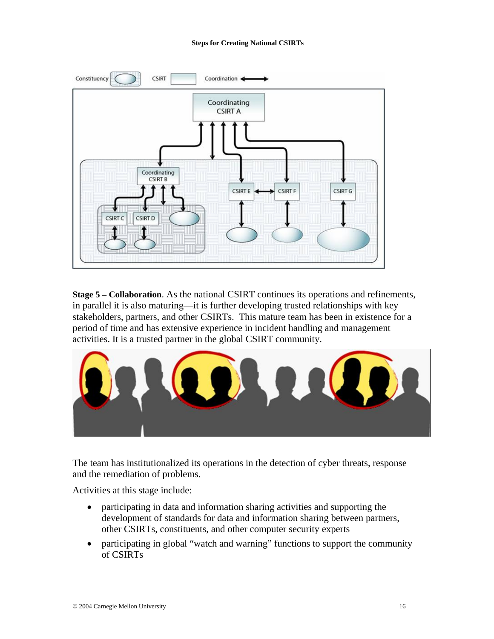

**Stage 5 – Collaboration**. As the national CSIRT continues its operations and refinements, in parallel it is also maturing—it is further developing trusted relationships with key stakeholders, partners, and other CSIRTs. This mature team has been in existence for a period of time and has extensive experience in incident handling and management activities. It is a trusted partner in the global CSIRT community.



The team has institutionalized its operations in the detection of cyber threats, response and the remediation of problems.

Activities at this stage include:

- participating in data and information sharing activities and supporting the development of standards for data and information sharing between partners, other CSIRTs, constituents, and other computer security experts
- participating in global "watch and warning" functions to support the community of CSIRTs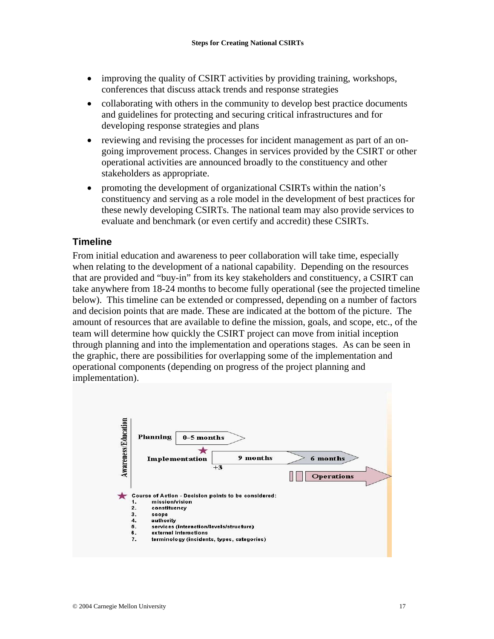- improving the quality of CSIRT activities by providing training, workshops, conferences that discuss attack trends and response strategies
- collaborating with others in the community to develop best practice documents and guidelines for protecting and securing critical infrastructures and for developing response strategies and plans
- reviewing and revising the processes for incident management as part of an ongoing improvement process. Changes in services provided by the CSIRT or other operational activities are announced broadly to the constituency and other stakeholders as appropriate.
- promoting the development of organizational CSIRTs within the nation's constituency and serving as a role model in the development of best practices for these newly developing CSIRTs. The national team may also provide services to evaluate and benchmark (or even certify and accredit) these CSIRTs.

## **Timeline**

From initial education and awareness to peer collaboration will take time, especially when relating to the development of a national capability. Depending on the resources that are provided and "buy-in" from its key stakeholders and constituency, a CSIRT can take anywhere from 18-24 months to become fully operational (see the projected timeline below). This timeline can be extended or compressed, depending on a number of factors and decision points that are made. These are indicated at the bottom of the picture. The amount of resources that are available to define the mission, goals, and scope, etc., of the team will determine how quickly the CSIRT project can move from initial inception through planning and into the implementation and operations stages. As can be seen in the graphic, there are possibilities for overlapping some of the implementation and operational components (depending on progress of the project planning and implementation).

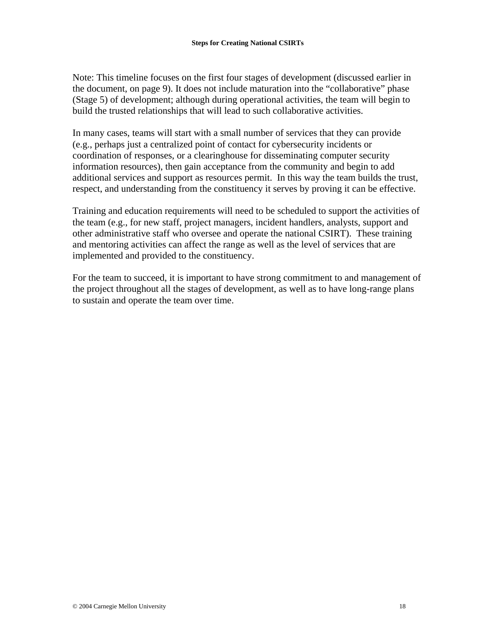Note: This timeline focuses on the first four stages of development (discussed earlier in the document, on page 9). It does not include maturation into the "collaborative" phase (Stage 5) of development; although during operational activities, the team will begin to build the trusted relationships that will lead to such collaborative activities.

In many cases, teams will start with a small number of services that they can provide (e.g., perhaps just a centralized point of contact for cybersecurity incidents or coordination of responses, or a clearinghouse for disseminating computer security information resources), then gain acceptance from the community and begin to add additional services and support as resources permit. In this way the team builds the trust, respect, and understanding from the constituency it serves by proving it can be effective.

Training and education requirements will need to be scheduled to support the activities of the team (e.g., for new staff, project managers, incident handlers, analysts, support and other administrative staff who oversee and operate the national CSIRT). These training and mentoring activities can affect the range as well as the level of services that are implemented and provided to the constituency.

For the team to succeed, it is important to have strong commitment to and management of the project throughout all the stages of development, as well as to have long-range plans to sustain and operate the team over time.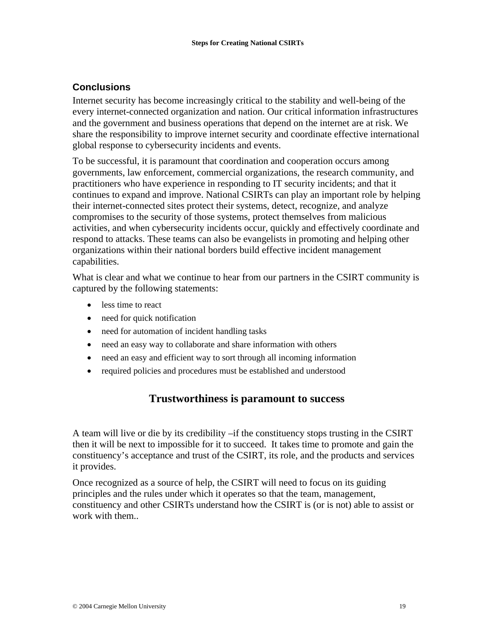## **Conclusions**

Internet security has become increasingly critical to the stability and well-being of the every internet-connected organization and nation. Our critical information infrastructures and the government and business operations that depend on the internet are at risk. We share the responsibility to improve internet security and coordinate effective international global response to cybersecurity incidents and events.

To be successful, it is paramount that coordination and cooperation occurs among governments, law enforcement, commercial organizations, the research community, and practitioners who have experience in responding to IT security incidents; and that it continues to expand and improve. National CSIRTs can play an important role by helping their internet-connected sites protect their systems, detect, recognize, and analyze compromises to the security of those systems, protect themselves from malicious activities, and when cybersecurity incidents occur, quickly and effectively coordinate and respond to attacks. These teams can also be evangelists in promoting and helping other organizations within their national borders build effective incident management capabilities.

What is clear and what we continue to hear from our partners in the CSIRT community is captured by the following statements:

- less time to react
- need for quick notification
- need for automation of incident handling tasks
- need an easy way to collaborate and share information with others
- need an easy and efficient way to sort through all incoming information
- required policies and procedures must be established and understood

# **Trustworthiness is paramount to success**

A team will live or die by its credibility –if the constituency stops trusting in the CSIRT then it will be next to impossible for it to succeed. It takes time to promote and gain the constituency's acceptance and trust of the CSIRT, its role, and the products and services it provides.

Once recognized as a source of help, the CSIRT will need to focus on its guiding principles and the rules under which it operates so that the team, management, constituency and other CSIRTs understand how the CSIRT is (or is not) able to assist or work with them..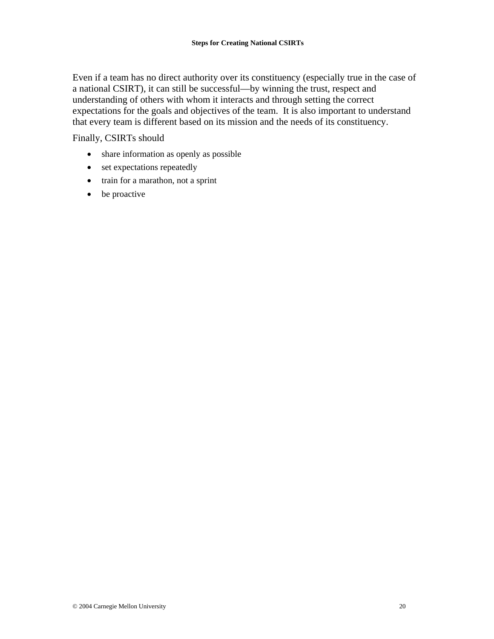Even if a team has no direct authority over its constituency (especially true in the case of a national CSIRT), it can still be successful—by winning the trust, respect and understanding of others with whom it interacts and through setting the correct expectations for the goals and objectives of the team. It is also important to understand that every team is different based on its mission and the needs of its constituency.

Finally, CSIRTs should

- share information as openly as possible
- set expectations repeatedly
- train for a marathon, not a sprint
- be proactive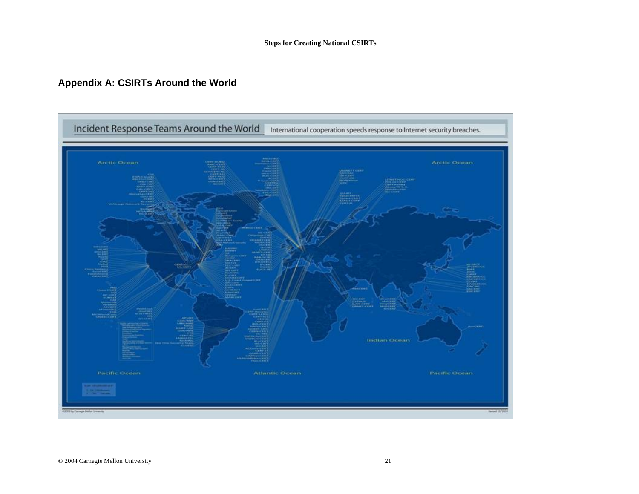# **Appendix A: CSIRTs Around the World**

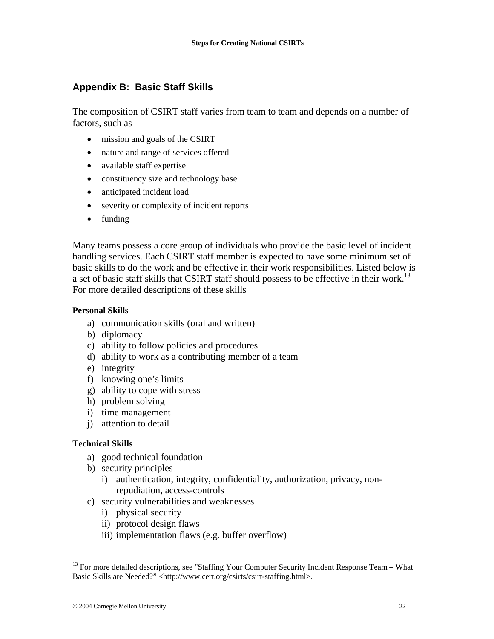# **Appendix B: Basic Staff Skills**

The composition of CSIRT staff varies from team to team and depends on a number of factors, such as

- mission and goals of the CSIRT
- nature and range of services offered
- available staff expertise
- constituency size and technology base
- anticipated incident load
- severity or complexity of incident reports
- funding

Many teams possess a core group of individuals who provide the basic level of incident handling services. Each CSIRT staff member is expected to have some minimum set of basic skills to do the work and be effective in their work responsibilities. Listed below is a set of basic staff skills that CSIRT staff should possess to be effective in their work.<sup>13</sup> For more detailed descriptions of these skills

## **Personal Skills**

- a) communication skills (oral and written)
- b) diplomacy
- c) ability to follow policies and procedures
- d) ability to work as a contributing member of a team
- e) integrity
- f) knowing one's limits
- g) ability to cope with stress
- h) problem solving
- i) time management
- j) attention to detail

## **Technical Skills**

 $\overline{a}$ 

- a) good technical foundation
- b) security principles
	- i) authentication, integrity, confidentiality, authorization, privacy, nonrepudiation, access-controls
- c) security vulnerabilities and weaknesses
	- i) physical security
	- ii) protocol design flaws
	- iii) implementation flaws (e.g. buffer overflow)

<sup>&</sup>lt;sup>13</sup> For more detailed descriptions, see "Staffing Your Computer Security Incident Response Team - What Basic Skills are Needed?" <http://www.cert.org/csirts/csirt-staffing.html>.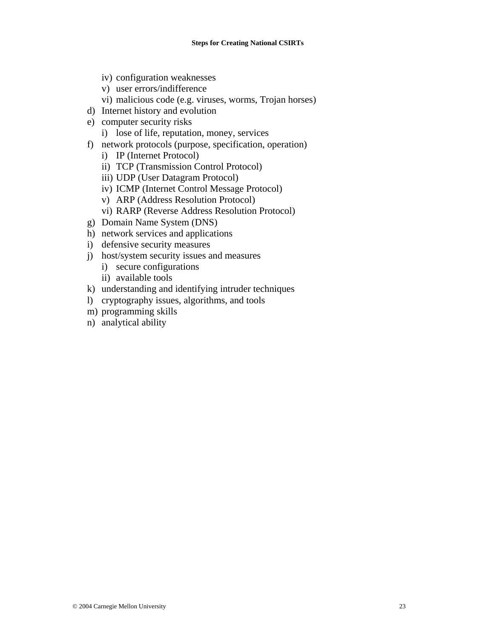- iv) configuration weaknesses
- v) user errors/indifference
- vi) malicious code (e.g. viruses, worms, Trojan horses)
- d) Internet history and evolution
- e) computer security risks
	- i) lose of life, reputation, money, services
- f) network protocols (purpose, specification, operation)
	- i) IP (Internet Protocol)
	- ii) TCP (Transmission Control Protocol)
	- iii) UDP (User Datagram Protocol)
	- iv) ICMP (Internet Control Message Protocol)
	- v) ARP (Address Resolution Protocol)
	- vi) RARP (Reverse Address Resolution Protocol)
- g) Domain Name System (DNS)
- h) network services and applications
- i) defensive security measures
- j) host/system security issues and measures
	- i) secure configurations
	- ii) available tools
- k) understanding and identifying intruder techniques
- l) cryptography issues, algorithms, and tools
- m) programming skills
- n) analytical ability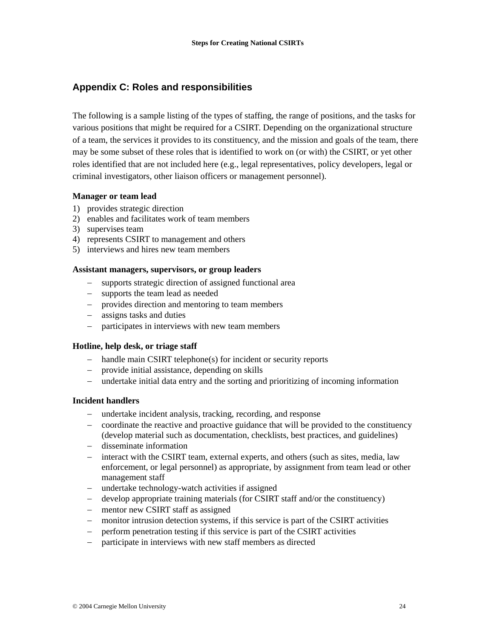## **Appendix C: Roles and responsibilities**

The following is a sample listing of the types of staffing, the range of positions, and the tasks for various positions that might be required for a CSIRT. Depending on the organizational structure of a team, the services it provides to its constituency, and the mission and goals of the team, there may be some subset of these roles that is identified to work on (or with) the CSIRT, or yet other roles identified that are not included here (e.g., legal representatives, policy developers, legal or criminal investigators, other liaison officers or management personnel).

## **Manager or team lead**

- 1) provides strategic direction
- 2) enables and facilitates work of team members
- 3) supervises team
- 4) represents CSIRT to management and others
- 5) interviews and hires new team members

#### **Assistant managers, supervisors, or group leaders**

- − supports strategic direction of assigned functional area
- − supports the team lead as needed
- − provides direction and mentoring to team members
- − assigns tasks and duties
- − participates in interviews with new team members

## **Hotline, help desk, or triage staff**

- − handle main CSIRT telephone(s) for incident or security reports
- − provide initial assistance, depending on skills
- − undertake initial data entry and the sorting and prioritizing of incoming information

#### **Incident handlers**

- − undertake incident analysis, tracking, recording, and response
- − coordinate the reactive and proactive guidance that will be provided to the constituency (develop material such as documentation, checklists, best practices, and guidelines)
- − disseminate information
- − interact with the CSIRT team, external experts, and others (such as sites, media, law enforcement, or legal personnel) as appropriate, by assignment from team lead or other management staff
- − undertake technology-watch activities if assigned
- − develop appropriate training materials (for CSIRT staff and/or the constituency)
- − mentor new CSIRT staff as assigned
- − monitor intrusion detection systems, if this service is part of the CSIRT activities
- − perform penetration testing if this service is part of the CSIRT activities
- − participate in interviews with new staff members as directed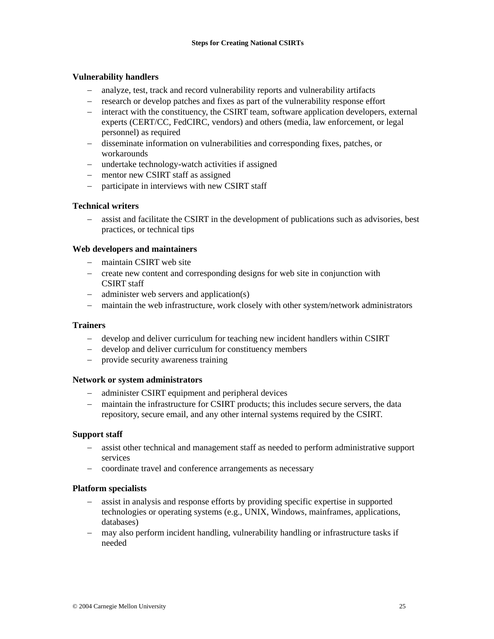#### **Vulnerability handlers**

- − analyze, test, track and record vulnerability reports and vulnerability artifacts
- − research or develop patches and fixes as part of the vulnerability response effort
- − interact with the constituency, the CSIRT team, software application developers, external experts (CERT/CC, FedCIRC, vendors) and others (media, law enforcement, or legal personnel) as required
- − disseminate information on vulnerabilities and corresponding fixes, patches, or workarounds
- − undertake technology-watch activities if assigned
- − mentor new CSIRT staff as assigned
- − participate in interviews with new CSIRT staff

#### **Technical writers**

− assist and facilitate the CSIRT in the development of publications such as advisories, best practices, or technical tips

#### **Web developers and maintainers**

- − maintain CSIRT web site
- − create new content and corresponding designs for web site in conjunction with CSIRT staff
- − administer web servers and application(s)
- − maintain the web infrastructure, work closely with other system/network administrators

#### **Trainers**

- − develop and deliver curriculum for teaching new incident handlers within CSIRT
- − develop and deliver curriculum for constituency members
- − provide security awareness training

#### **Network or system administrators**

- − administer CSIRT equipment and peripheral devices
- − maintain the infrastructure for CSIRT products; this includes secure servers, the data repository, secure email, and any other internal systems required by the CSIRT.

#### **Support staff**

- − assist other technical and management staff as needed to perform administrative support services
- − coordinate travel and conference arrangements as necessary

#### **Platform specialists**

- − assist in analysis and response efforts by providing specific expertise in supported technologies or operating systems (e.g., UNIX, Windows, mainframes, applications, databases)
- − may also perform incident handling, vulnerability handling or infrastructure tasks if needed